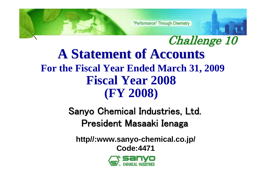"Performance" Through Chemistry

Challenge 10 **A Statement of Accounts A Statement of Accounts For the Fiscal Year Ended March 31, 2009 Fiscal Year 2008 (FY 2008)**

# Sanyo Chemical Industries, Ltd. President Masaaki Ienaga

**http//:www.sanyo-chemical.co.jp/ Code:4471**

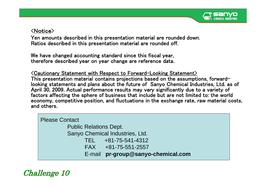

#### <Notice>

Yen amounts described in this presentation material are rounded down. Ratios described in this presentation material are rounded off.

We have changed accounting standard since this fiscal year, therefore described year on year change are reference data.

 $\operatorname{\lhd}$ Cautionary Statement with Respect to Forward-Looking Statement $\operatorname{\lhd}$ This presentation material contains projections based on the assumptions, forward looking statements and plans about the future of Sanyo Chemical Industries, Ltd. as of factors affecting the sphere of business that include but are not limited to: the world April 30, 2009. Actual performance results may vary significantly due to a variety of economy, competitive position, and fluctuations in the exchange rate, raw material costs, and others.

| <b>Please Contact</b>         |                                    |
|-------------------------------|------------------------------------|
| <b>Public Relations Dept.</b> |                                    |
|                               | Sanyo Chemical Industries, Ltd.    |
|                               | TEL +81-75-541-4312                |
|                               | $FAX + 81 - 75 - 551 - 2557$       |
|                               | E-mail pr-group@sanyo-chemical.com |

#### Challenge 10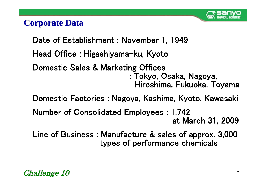

#### **Corporate Data Corporate Data**

Date of Establishment : November 1, 1949 Head Office : Higashiyama-ku, Kyoto Domestic Sales & Marketing Offices : Tokyo, Osaka, Nagoya, Hiroshima, Fukuoka, Toyama Domestic Factories : Nagoya, Kashima, Kyoto, Kawasaki Number of Consolidated Employees : 1,742

at March 31, 2009

Line of Business : Manufacture & sales of approx. 3,000 types of performance chemicals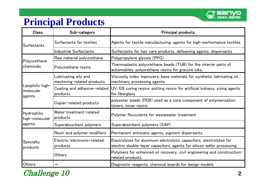

# **Principal Products**

| Class.                                                                      | Sub-category                                       | <b>Principal products</b>                                                                                                                    |
|-----------------------------------------------------------------------------|----------------------------------------------------|----------------------------------------------------------------------------------------------------------------------------------------------|
| Surfactants                                                                 | Surfactants for textiles                           | Agents for textile manufacturing, agents for high-performance textiles                                                                       |
|                                                                             | Industrial Surfactants                             | Surfactants for hair care products, defoaming agents, dispersants                                                                            |
|                                                                             | Raw material polyurethane                          | Polypropylene glycols (PPG)                                                                                                                  |
| Polyurethane<br>chemicals                                                   | Polyurethane resins                                | Thermoplastic polyurethane beads (TUB) for the interior parts of<br>automobiles, polyurethane resins for gravure inks,                       |
|                                                                             | Lubricating oils and<br>machining-related products | Viscosity index improvers, base materials for synthetic lubricating oil,<br>machinery processing agents                                      |
| Lipophilic high-<br>molecular                                               | Coating and adhesive-related<br>products           | $UV/EB$ curing resins, potting resins for artificial kidneys, sizing agents<br>for fiberglass                                                |
| agents                                                                      | Copier-related products                            | polyester beads (PEB) used as a core component of polymerization<br>toners, toner resins                                                     |
| Water treatment-related<br><b>Hydrophilic</b><br>products<br>high-molecular |                                                    | Polymer flocculants for wastewater treatment                                                                                                 |
| agents                                                                      | Superabsorbent polymers                            | Superabsorbent polymers (SAP)                                                                                                                |
|                                                                             | Resin and polymer modifiers                        | Permanent antistatic agents, pigment dispersants                                                                                             |
| Specialty<br>products                                                       | Electric/electronic-related<br>products            | Electrolytes for aluminum electrolytic capacitors, electrolytes for<br>electric double-layer capacitors, agents for silicon wafer processing |
|                                                                             | Others                                             | Polymers for enhanced oil recovery, civil engineering and construction-<br>related products                                                  |
| <b>Others</b>                                                               |                                                    | Diagnostic reagents, chemical boards for design models                                                                                       |

Challenge 10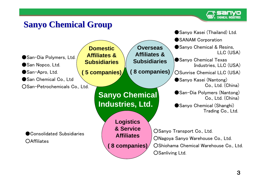

# **Sanyo Chemical Group Sanyo Chemical Group**

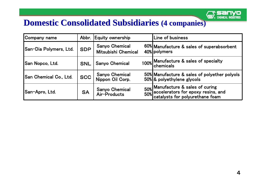

### **Domestic Consolidated Subsidiaries (4 companies)**

| Company name                  |            | Abbr. Equity ownership                       |  | Line of business                                                                                               |  |
|-------------------------------|------------|----------------------------------------------|--|----------------------------------------------------------------------------------------------------------------|--|
| San-Dia Polymers, Ltd.        | <b>SDP</b> | <b>Sanyo Chemical</b><br>Mitsubishi Chemical |  | 60% Manufacture & sales of superabsorbent<br>40% polymers                                                      |  |
| <b>San Nopco, Ltd.</b>        | <b>SNL</b> | <b>Sanyo Chemical</b>                        |  | 100% Manufacture & sales of specialty<br>  chemicals                                                           |  |
| <b>San Chemical Co., Ltd.</b> | <b>SCC</b> | <b>Sanyo Chemical</b><br>Nippon Oil Corp.    |  | 50% Manufacture & sales of polyether polyols<br>50% & polyethylene glycols                                     |  |
| San-Apro, Ltd.                | <b>SA</b>  | <b>Sanyo Chemical</b><br>Air-Products        |  | 50% Manufacture & sales of curing<br>50% accelerators for epoxy resins, and<br>catalysts for polyurethane foam |  |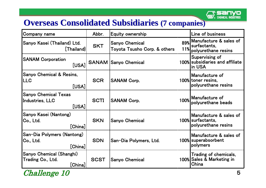

## **Overseas Consolidated Subsidiaries (7 companies)**

| Company name                                                    | Abbr.       | Equity ownership                                      |            | Line of business                                                   |
|-----------------------------------------------------------------|-------------|-------------------------------------------------------|------------|--------------------------------------------------------------------|
| Sanyo Kasei (Thailand) Ltd.<br>$[]$ Thailand                    | <b>SKT</b>  | <b>Sanyo Chemical</b><br>Toyota Tsusho Corp. & others | 89%<br>11% | Manufacture & sales of<br>surfactants,<br>polyurethane resins      |
| <b>SANAM Corporation</b><br>[USA]                               |             | <b>SANAM Sanyo Chemical</b>                           |            | Supervising of<br>100% subsidiaries and affiliate<br>lin USA       |
| <b>Sanyo Chemical &amp; Resins,</b><br><b>LLC</b><br>[USA]      | <b>SCR</b>  | <b>SANAM Corp.</b>                                    |            | Manufacture of<br>100% toner resins,<br>polyurethane resins        |
| <b>Sanyo Chemical Texas</b><br>Industries, LLC<br>[USA]         | <b>SCTI</b> | <b>SANAM Corp.</b>                                    |            | 100% Manufacture of<br>polyurethane beads                          |
| <b>Sanyo Kasei (Nantong)</b><br> Co., Ltd.<br>[China]           | <b>SKN</b>  | <b>Sanyo Chemical</b>                                 |            | Manufacture & sales of<br>100% surfactants,<br>polyurethane resins |
| San-Dia Polymers (Nantong)<br> Co., Ltd.<br>$[{\sf China}]$     | <b>SDN</b>  | San-Dia Polymers, Ltd.                                |            | Manufacture & sales of<br>100% superabsorbent<br> polymers         |
| <b>Sanyo Chemical (Shanghi)</b><br>Trading Co., Ltd.<br>[China] | <b>SCST</b> | <b>Sanyo Chemical</b>                                 |            | Trading of chemicals,<br>100% Sales & Marketing in<br>China        |

#### Challenge 10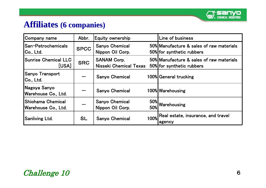

### **Affiliates Affiliates (6 companies) (6 companies)**

| Company name                               | Abbr.       | Equity ownership                                    |                   | Line of business                                                      |
|--------------------------------------------|-------------|-----------------------------------------------------|-------------------|-----------------------------------------------------------------------|
| San-Petrochemicals <br> Co., Ltd.          | <b>SPCC</b> | <b>Sanyo Chemical</b><br>Nippon Oil Corp.           |                   | 50% Manufacture & sales of raw materials<br>50% for synthetic rubbers |
| <b>Sunrise Chemical LLC</b><br>[USA]       | <b>SRC</b>  | <b>SANAM Corp.</b><br><b>Nisseki Chemical Texas</b> |                   | 50% Manufacture & sales of raw materials<br>50% for synthetic rubbers |
| Sanyo Transport<br> Co., Ltd.              |             | <b>Sanyo Chemical</b>                               |                   | 100% General trucking                                                 |
| Nagoya Sanyo<br> Warehouse Co., Ltd.       |             | <b>Sanyo Chemical</b>                               |                   | 100% Warehousing                                                      |
| Shiohama Chemical <br> Warehouse Co., Ltd. |             | <b>Sanyo Chemical</b><br>Nippon Oil Corp.           | <b>50%</b><br>50% | Warehousing                                                           |
| Sanliving Ltd.                             | <b>SL</b>   | <b>Sanyo Chemical</b>                               | <b>100%</b>       | Real estate, insurance, and travel<br>agency                          |

#### Challenge 10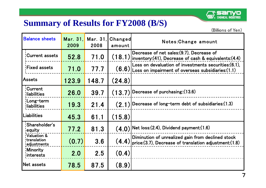

# **Summary of Results for FY2008 (B/S)**

| <b>Balance sheets</b>                                         | Mar. 31.<br>2009 | Mar. 31.<br>2008 | Changed<br>amount | Notes: Change amount                                                                                               |
|---------------------------------------------------------------|------------------|------------------|-------------------|--------------------------------------------------------------------------------------------------------------------|
| Current assets                                                | 52.8             | 71.0             | (18.1)            | Decrease of net sales: (9.7), Decrease of<br>inventory: (41), Decrease of cash & equivalents: (4.4)                |
| <b>Fixed assets</b>                                           | 71.0             | 77.7             | (6.6)             | Loss on devaluation of investments securities: (6.1),<br>Loss on impairment of overseas subsidiaries: $(1.1)$      |
| <b>Assets</b>                                                 | 123.9            | 148.7            | (24.8)            |                                                                                                                    |
| <b>Current</b><br><b>liabilities</b>                          | 26.0             | 39.7             | (13.7)            | Decrease of purchasing:: (13.6)                                                                                    |
| Long-term<br><b>iliabilities</b>                              | 19.3             | 21.4             | (2.1)             | Decrease of long-term debt of subsidiaries: (1.3)                                                                  |
| Liabilities                                                   | 45.3             | 61.1             | (15.8)            |                                                                                                                    |
| Shareholder's<br><b>equity</b>                                | 77.2             | 81.3             | (4.0)             | $ Net $ loss:(2.4), Dividend payment:(1.6)                                                                         |
| Valuation &<br><b>translation</b><br><sub>!</sub> adjustments | (0.7)            | 3.6              | (4.4)             | Diminution of unrealized gain from declined stock<br>$\vert$ price:(3.7), Decrease of translation adjustment:(1.8) |
| <b>Minority</b><br>interests                                  | 2.0              | 2.5              | (0.4)             |                                                                                                                    |
| Net assets                                                    | 78.5             | 87.5             | (8.9)             |                                                                                                                    |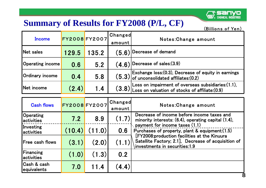# о

# **Summary of Results for FY2008 (P/L, CF)**

| Income            | FY2008 FY2007 |       | <b>Changed</b><br>amount | Notes: Change amount                                                                                               |  |
|-------------------|---------------|-------|--------------------------|--------------------------------------------------------------------------------------------------------------------|--|
| Net sales         | 129.5         | 135.2 | (5.6)                    | $\vert$ Decrease of demand                                                                                         |  |
| Operating income  | 0.6           | 5.2   | (4.6)                    | $\sqrt{\textcolor{blue}{\textsf{D}}\textcolor{blue}{\textsf{D}}\textcolor{blue}{\textsf{c}}}$ rease of sales:(3.9) |  |
| Ordinary income   | 0.4           | 5.8   |                          | $(5.3)$ Exchange loss:(0.3), Decrease of equity in earnings (5.3) of unconsolidated affiliates:(0.2)               |  |
| <b>Net income</b> | (2.4)         | 1.4   |                          | $(3.8)$ Loss on impairment of overseas subsidiaries: (1.1), (3.8) Loss on valuation of stocks of affiliate: (0.9)  |  |

| <b>Cash flows</b>              | FY2008 FY2007 |        | Changed<br>amount | Notes: Change amount                                                                                                                 |
|--------------------------------|---------------|--------|-------------------|--------------------------------------------------------------------------------------------------------------------------------------|
| Operating<br>activities        | 7.2           | 8.9    | (1.7)             | Decrease of income before income taxes and<br>minority interests: (6.4), operating capital (1.4),                                    |
| Investing<br>activities        | (10.4)        | (11.0) | 0.6               | $\lambda$ payment for income taxes (1.1)<br>Purchases of property, plant & equipment: (1.5)                                          |
| lFree cash flows               | (3.1)         | (2.0)  | (1.1)             | [FY2008:production facilities at the Kinuura<br>Satellite Factory; 2.1], Decrease of acquisition of<br>investments in securities:1.9 |
| <b>Financing</b><br>activities | (1.0)         | (1.3)  | 0.2               |                                                                                                                                      |
| Cash & cash<br>equivalents     | 7.0           | 11.4   | (4.4)             |                                                                                                                                      |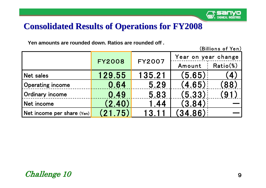

#### **Consolidated Results of Operations for FY2008 Consolidated Results of Operations for FY2008**

**Yen amounts are rounded down. Ratios are rounded off .**

|                            |               |               | Year on year change |              |  |
|----------------------------|---------------|---------------|---------------------|--------------|--|
|                            | <b>FY2008</b> | <b>FY2007</b> | Amount              | Ratio%)      |  |
| <b>Net sales</b>           | 129.55        | 135.21        | (5.65)              | $\mathbf{A}$ |  |
| <b>Operating income</b>    | 0.64          | 5.29          | (4.65)              | (88)         |  |
| Ordinary income            | 0.49          | 5.83          | (5.33)              |              |  |
| Net income                 | (2.40)        | 1.44          | (3.84)              |              |  |
| Net income per share (Yen) | (21.75)       |               | (34.86)             |              |  |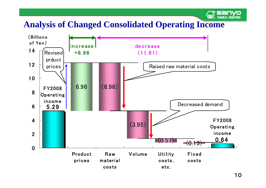# **Analysis of Changed Consolidated Operating Income**



**CHEMICAL INDUSTRIES**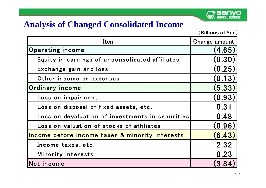

#### **Analysis of Changed Consolidated Income**

| Item                                             | Change amount |
|--------------------------------------------------|---------------|
| Operating income                                 | (4.65)        |
| Equity in earnings of unconsolidated affiliates  | (0.30)        |
| Exchange gain and loss                           | (0.25)        |
| Other income or expenses                         | (0.13)        |
| Ordinary income                                  | (5.33)        |
| Loss on impairment                               | (0.93)        |
| Loss on disposal of fixed assets, etc.           | 0.31          |
| Loss on devaluation of investments in securities | 0.48          |
| Loss on valuation of stocks of affiliates        | (0.96)        |
| Income before income taxes & minority interests  | (6.43)        |
| Income taxes, etc.                               | 2.32          |
| Minority interests                               | 0.23          |
| Net income                                       | (3.84)        |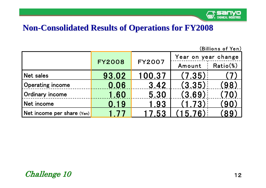

### **Non -Consolidated Results of Operations for FY2008 Consolidated Results of Operations for FY2008**

| (Billions of Yen)          |               |               |                     |           |  |  |
|----------------------------|---------------|---------------|---------------------|-----------|--|--|
|                            |               | <b>FY2007</b> | Year on year change |           |  |  |
|                            | <b>FY2008</b> |               | Amount              | Ratio(%)  |  |  |
| <b>Net sales</b>           | 93.02         | 100.37        | (7.35)              |           |  |  |
| <b>Operating income</b>    | 0.06          | 3.42          | (3.35)              | (98)      |  |  |
| <b>Ordinary income</b>     | 1.60          | 5.30          | (3.69)              |           |  |  |
| Net income                 | 0.19          | 1.93          | 1.73                | <b>90</b> |  |  |
| Net income per share (Yen) | 177           | 17.53         | 576                 | 89        |  |  |

#### Challenge 10 12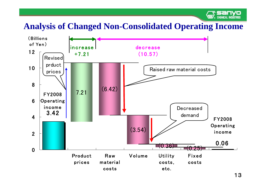

# **Analysis of Changed Non-Consolidated Operating Income**

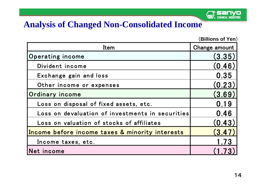

#### **Analysis of Changed Non-Consolidated Income**

| Item                                             | Change amount |
|--------------------------------------------------|---------------|
| Operating income                                 | (3.35)        |
| Divident income                                  | (0.46)        |
| Exchange gain and loss                           | 0.35          |
| Other income or expenses                         | (0.23)        |
| Ordinary income                                  | (3.69)        |
| Loss on disposal of fixed assets, etc.           | 0.19          |
| Loss on devaluation of investments in securities | 0.46          |
| Loss on valuation of stocks of affiliates        | (0.43)        |
| Income before income taxes & minority interests  | (3.47)        |
| Income taxes, etc.                               | 1.73          |
| Net income                                       |               |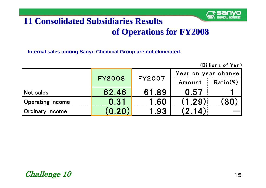

 $(D:II)$ 

# **11 1 Consolidated Subsidiaries Results Consolidated Subsidiaries Results of Operations for FY2008 of Operations for FY2008**

**Internal sales among Sanyo Chemical Group are not eliminated.** 

| (DIIIIOII) UI TCII <i>i</i> |               |               |                     |             |  |  |  |  |  |
|-----------------------------|---------------|---------------|---------------------|-------------|--|--|--|--|--|
|                             |               |               | Year on year change |             |  |  |  |  |  |
|                             | <b>FY2008</b> | <b>FY2007</b> | Amount              | $Ratio(\%)$ |  |  |  |  |  |
| Net sales                   | 62.46         | 61.89         | 0.57                |             |  |  |  |  |  |
| <b>Operating income</b>     | 0.31          | 1.60          | (1.29)              | 80.         |  |  |  |  |  |
| Ordinary income             | (0.20)        | 1.93          | (2 14)              |             |  |  |  |  |  |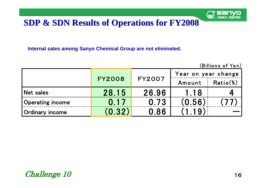

### **SDP & SDN Results of Operations for FY2008 SDP & SDN Results of Operations for FY2008**

**Internal sales among Sanyo Chemical Group are not eliminated.** 

| (Billions of Yen)       |               |               |                     |          |  |  |  |  |
|-------------------------|---------------|---------------|---------------------|----------|--|--|--|--|
|                         |               |               | Year on year change |          |  |  |  |  |
|                         | <b>FY2008</b> | <b>FY2007</b> | Amount              | Ratio(%) |  |  |  |  |
| Net sales               | 28.15         | 26.96         | 1.18                |          |  |  |  |  |
| <b>Operating income</b> | 0.17          | 0.73          | (0.56)              | .77      |  |  |  |  |
| Ordinary income         | (0.32)        | 0.86          | (1.19)              |          |  |  |  |  |

#### **16**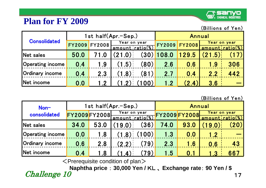### **Plan for FY 2009**



(Billions of Yen)

| <b>Consolidated</b>     |               |               | 1st half(Apr.-Sep.)                     |                    | Annual        |               |                 |              |
|-------------------------|---------------|---------------|-----------------------------------------|--------------------|---------------|---------------|-----------------|--------------|
|                         | <b>FY2009</b> | <b>FY2008</b> | Year on year<br><u>'amount ratio(%)</u> |                    | <b>FY2009</b> | <b>FY2008</b> | amountiratio(%) | Year on year |
| Net sales               | 50.0          | 71.0          | (21.0)                                  | $\left( 30\right)$ | 108.0         | 129.5         | .5)<br>$'$ 21   |              |
| <b>Operating income</b> | 0.4           | 1.9           | (1.5)                                   | (80)               | 2.6           | 0.6           | 1.9             | 306          |
| Ordinary income         | 0.4           | 2.3           | (1.8)                                   | (81)               | 2.7           | 0.4           | 2.2             | 442          |
| Net income              | 0.0           | 12            |                                         | 00                 | 1.2           | (2.4)         | 3.6             |              |

(Billions of Yen)

| Non-                    | 1st half(Apr.-Sep.) |      |                                         |      | Annual              |      |                 |              |
|-------------------------|---------------------|------|-----------------------------------------|------|---------------------|------|-----------------|--------------|
| consolidated            | FY2009 FY2008       |      | Year on year<br><u>'amount ratio(%)</u> |      | <b>FY2009FY2008</b> |      | amount ratio(%) | Year on year |
| Net sales               | 34.0                | 53.0 | 19.0)                                   | (36) | 74.0                | 93.0 | 9.0.            |              |
| <b>Operating income</b> | 0.0                 | 1.8  | (1.8)                                   | 100) | 1.3                 | 0.0  | 1.2             |              |
| Ordinary income         | 0.6                 | 2.8  | (2.2)                                   | (79) | 2.3                 | 1.6  | 0.6             | 43           |
| Net income              | 0.4                 | 1.8  |                                         | 79.  | 1.5                 | 0.1  |                 | 667          |

 $\leq$  Prerequisite condition of plan $>$ 

Challenge 10 17 **Naphtha price** : **30,000 Yen /** KL 、 **Exchange rate**: **90 Yen / \$**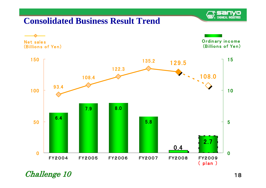

#### **Consolidated Business Result Trend**



Challenge 10 18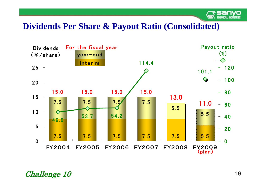

#### **Dividends Per Share & Payout Ratio (Consolidated)**



Challenge 10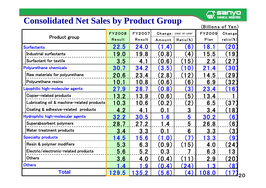

#### **Consolidated Net Sales by Product Group**

|  |  |  | (Billions of Yen) |  |  |
|--|--|--|-------------------|--|--|
|  |  |  |                   |  |  |

|                                            | <b>FY2008</b>           | <b>FY2007</b> |                     | Change: year on year     | <b>FY2009</b>        | Change                 |
|--------------------------------------------|-------------------------|---------------|---------------------|--------------------------|----------------------|------------------------|
| Product group                              | Result                  | Result        | Amount              | Ratio%)                  | Plan                 | $ratio(\%)$            |
|                                            |                         |               |                     |                          |                      |                        |
| <b>Surfactants</b>                         | 22.5                    | 24.0          | (1.4)               | $\left[ 6 \right]$       | 18.1                 | $\mathbf{20}$          |
| Industrial surfactants                     | 19.0                    | 19.8          | (0.8)               | $\overline{4}$           | 15.5                 | (19                    |
| Surfactant for textile                     | 3.5                     | 4.1           | (0.6)               | 5 <sup>2</sup>           | 2.5                  | $27$                   |
| <b>Polyurethane chemicals</b>              | 30.7                    | 34.2          | (3.5)               | $\mathbf{0}$             | 21.4                 | 30                     |
| Raw materials for polyurethane             | 20.6                    | 23.4          | (2.8)               | $\overline{2}$           | 14.5                 | (29)                   |
| Polyurethane resins                        | 10.1                    | 10.8          | (0.6)               | 6)                       | 6.9                  | 32)                    |
| Lipophilic high-molecular agents           | 27.9                    | 28.7          | (0.8)               | 3)                       | 23.4                 | 6 <sup>2</sup>         |
| Copier-related products                    | 13.2                    | 13.9          | (0.6)               | $\left[5\right)$         | 13.4                 |                        |
| Lubricating oil & machine-related products | 10.3                    | 10.6          | .2)<br>$\mathbf{0}$ | $\left( 2\right)$        | 6.5                  | (37)                   |
| Coating & adhesive-related products        | 4.2                     | 4.1           | 0.1                 | 3                        | 3.4                  | $\lfloor 8 \rfloor$    |
| Hydrophilic high-molecular agents          | 32.2                    | 30.5          | 1.6                 | 5                        | 30.2                 | 6 <sup>°</sup>         |
| Superabsorbent polymers                    | 28.7                    | 27.2          | 1.4                 | 5                        | 26.8                 | 6)                     |
| Water treatment products                   | 3.4                     | 3.3           | 0.1                 | 6                        | 3.3                  | $\left 3\right\rangle$ |
| <b>Specialty products</b>                  | 4.5                     | 5.6           | (1.0)               | $\mathbf{7}$             | 3.3                  | 9                      |
| Resin & polymer modifiers                  | 5.3                     | 6.3           | (0.9)               | $\overline{5}$           | 4.0                  | (24)                   |
| Electric/electronic-related products       | 5.6                     | 5.2           | 0.3                 |                          | 6.3                  | 13                     |
| <b>Others</b>                              | 3.6                     | 4.0           | (0.4)               |                          | 2.9                  | $\left[20\right]$      |
| <b>Others</b>                              | $\overline{\mathbf{4}}$ | 9             | (0.4)               | (24)                     | $\cdot$ <sup>3</sup> | (8)                    |
| <b>Total</b>                               | 129.5                   | <u>35.2</u>   | (5.6)               | $\left  4 \right\rangle$ | 108.0                | 20                     |

20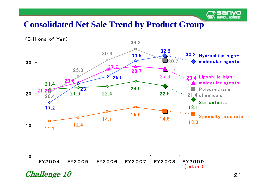

#### **Consolidated Net Sale Trend by Product Group**



Challenge 10 21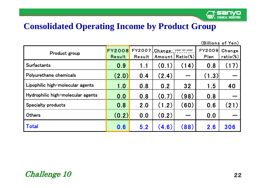

#### **Consolidated Operating Income by Product Group**

| Product group                     | <b>FY2008 FY2007</b><br>Result | Result | $ {\bf Change}:$ year on year | Amount   Ratio(%) | <b>FY2009</b><br>Plan | Change<br>$ratio(\%)$ |
|-----------------------------------|--------------------------------|--------|-------------------------------|-------------------|-----------------------|-----------------------|
| <b>Surfactants</b>                | 0.9                            | 1.1    | (0.1)                         | (14)              | 0.8                   | (17)                  |
| Polyurethane chemicals            | (2.0)                          | 0.4    | (2.4)                         |                   | (1.3)                 |                       |
| Lipophilic high-molecular agents  | 1.0                            | 0.8    | 0.2                           | 32                | 1.5                   | 40                    |
| Hydrophilic high-molecular agents | 0.0                            | 0.8    | (0.7)                         | (98)              | 0.8                   |                       |
| <b>Specialty products</b>         | 0.8                            | 2.0    | (1.2)                         | (60)              | 0.6                   | (21)                  |
| <b>Others</b>                     | (0.2)                          | 0.0    | (0.2)                         |                   | 0.0                   |                       |
| <b>Total</b>                      | 0.6                            | 5.2    | (4.6)                         | (88)              | 2.6                   | 306                   |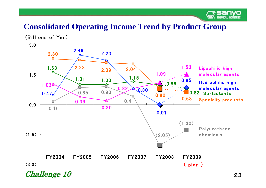

#### **Consolidated Operating Income Trend by Product Group**



Challenge 10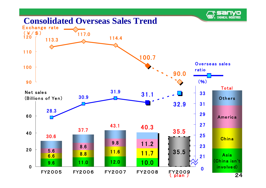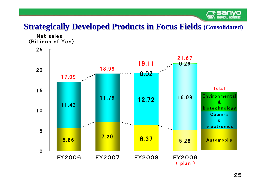

#### **Strategically Developed Products in Focus Fields (Consolidated)**

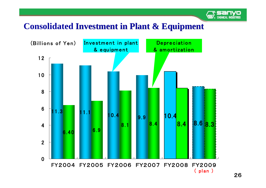

# **Consolidated Investment in Plant & Equipment Investment in Plant & Equipment**

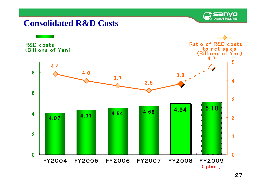

#### **Consolidated R&D Costs**

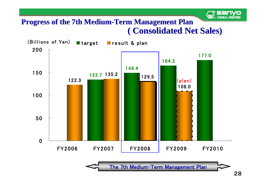#### **Progress of the 7th Medium Progress of the 7th Medium -Term Management Plan Term Management Plan ( Consolidated Net Sales) ( Consolidated Net Sales)**



The 7th Medium-Term Management Plan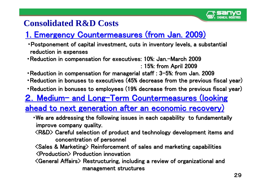

# **Consolidated R&D Costs**

# 1. Emergency Countermeasures (from Jan. 2009)

- Postponement of capital investment, cuts in inventory levels, a substantial reduction in expenses
- •Reduction in compensation for executives: 10%: Jan.—March 2009 : 15%: from April 2009 : 15%: from April 2009
- Reduction in compensation for managerial staff :  $3-5$ %: from Jan. 2009 •Reduction in bonuses to executives (45% decrease from the previous fiscal year)
- •Reduction in bonuses to employees (19% decrease from the previous fiscal year)

# <u>2. Medium- and Long-Term Countermeasures (looking</u>

# <u>ahead to next generation after an economic recovery)</u>

- We are addressing the following issues in each capability to fundamentally improve company quality.
- $\langle\textsf{R}\texttt{}\textsf{}\texttt{}\textsf{R}\texttt{}\textsf{}\textsf{D}\rangle$  Careful selection of product and technology development items and concentration of personnel
- <Sales & Marketing> Reinforcement of sales and marketing capabi <Sales & Marketing> Reinforcement of sales and marketing capabilities <Production> <Production> P roduction roductioninnovation innovation
- <General Affairs <General Affairs> Restructuring, including a review of Restructuring, including a review of organizational organizational and management structures